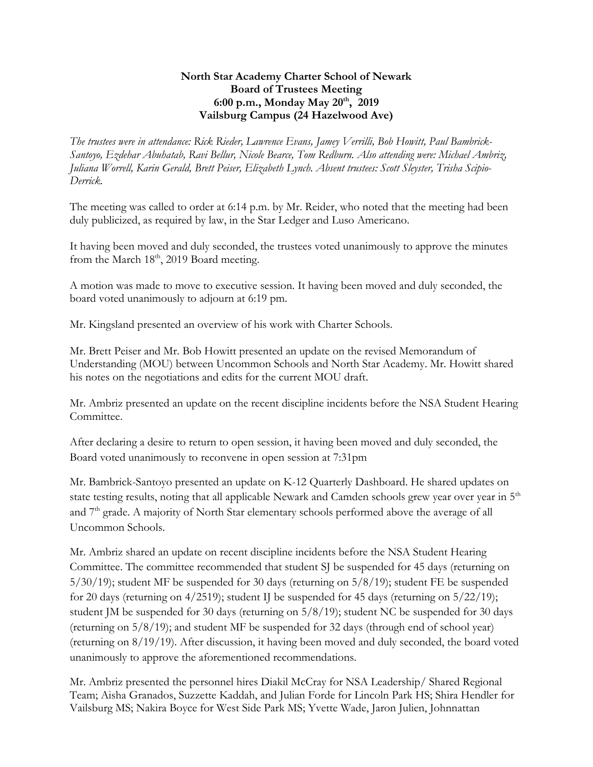## **North Star Academy Charter School of Newark Board of Trustees Meeting 6:00 p.m., Monday May 20th , 2019 Vailsburg Campus (24 Hazelwood Ave)**

*The trustees were in attendance: Rick Rieder, Lawrence Evans, Jamey Verrilli, Bob Howitt, Paul Bambrick-Santoyo, Ezdehar Abuhatab, Ravi Bellur, Nicole Bearce, Tom Redburn. Also attending were: Michael Ambriz, Juliana Worrell, Karin Gerald, Brett Peiser, Elizabeth Lynch. Absent trustees: Scott Sleyster, Trisha Scipio-Derrick.*

The meeting was called to order at 6:14 p.m. by Mr. Reider, who noted that the meeting had been duly publicized, as required by law, in the Star Ledger and Luso Americano.

It having been moved and duly seconded, the trustees voted unanimously to approve the minutes from the March  $18<sup>th</sup>$ , 2019 Board meeting.

A motion was made to move to executive session. It having been moved and duly seconded, the board voted unanimously to adjourn at 6:19 pm.

Mr. Kingsland presented an overview of his work with Charter Schools.

Mr. Brett Peiser and Mr. Bob Howitt presented an update on the revised Memorandum of Understanding (MOU) between Uncommon Schools and North Star Academy. Mr. Howitt shared his notes on the negotiations and edits for the current MOU draft.

Mr. Ambriz presented an update on the recent discipline incidents before the NSA Student Hearing Committee.

After declaring a desire to return to open session, it having been moved and duly seconded, the Board voted unanimously to reconvene in open session at 7:31pm

Mr. Bambrick-Santoyo presented an update on K-12 Quarterly Dashboard. He shared updates on state testing results, noting that all applicable Newark and Camden schools grew year over year in 5<sup>th</sup> and 7<sup>th</sup> grade. A majority of North Star elementary schools performed above the average of all Uncommon Schools.

Mr. Ambriz shared an update on recent discipline incidents before the NSA Student Hearing Committee. The committee recommended that student SJ be suspended for 45 days (returning on 5/30/19); student MF be suspended for 30 days (returning on 5/8/19); student FE be suspended for 20 days (returning on 4/2519); student IJ be suspended for 45 days (returning on 5/22/19); student JM be suspended for 30 days (returning on 5/8/19); student NC be suspended for 30 days (returning on 5/8/19); and student MF be suspended for 32 days (through end of school year) (returning on 8/19/19). After discussion, it having been moved and duly seconded, the board voted unanimously to approve the aforementioned recommendations.

Mr. Ambriz presented the personnel hires Diakil McCray for NSA Leadership/ Shared Regional Team; Aisha Granados, Suzzette Kaddah, and Julian Forde for Lincoln Park HS; Shira Hendler for Vailsburg MS; Nakira Boyce for West Side Park MS; Yvette Wade, Jaron Julien, Johnnattan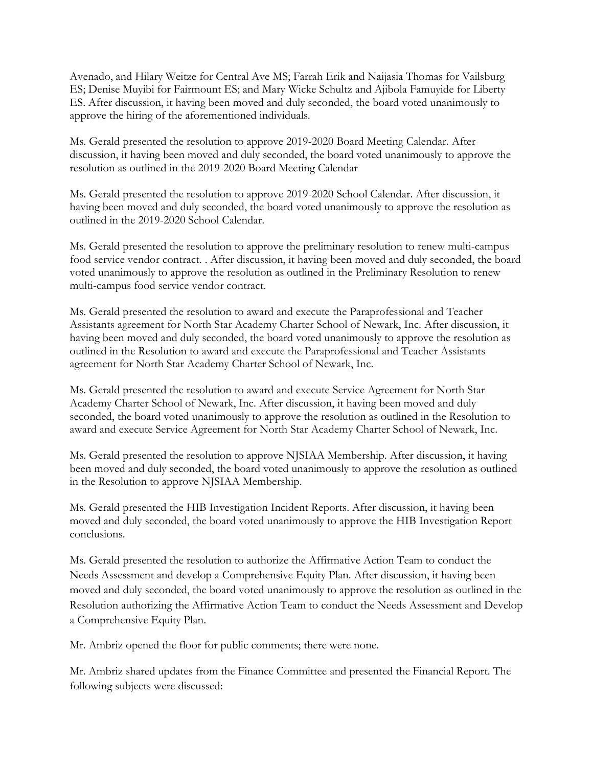Avenado, and Hilary Weitze for Central Ave MS; Farrah Erik and Naijasia Thomas for Vailsburg ES; Denise Muyibi for Fairmount ES; and Mary Wicke Schultz and Ajibola Famuyide for Liberty ES. After discussion, it having been moved and duly seconded, the board voted unanimously to approve the hiring of the aforementioned individuals.

Ms. Gerald presented the resolution to approve 2019-2020 Board Meeting Calendar. After discussion, it having been moved and duly seconded, the board voted unanimously to approve the resolution as outlined in the 2019-2020 Board Meeting Calendar

Ms. Gerald presented the resolution to approve 2019-2020 School Calendar. After discussion, it having been moved and duly seconded, the board voted unanimously to approve the resolution as outlined in the 2019-2020 School Calendar.

Ms. Gerald presented the resolution to approve the preliminary resolution to renew multi-campus food service vendor contract. . After discussion, it having been moved and duly seconded, the board voted unanimously to approve the resolution as outlined in the Preliminary Resolution to renew multi-campus food service vendor contract.

Ms. Gerald presented the resolution to award and execute the Paraprofessional and Teacher Assistants agreement for North Star Academy Charter School of Newark, Inc. After discussion, it having been moved and duly seconded, the board voted unanimously to approve the resolution as outlined in the Resolution to award and execute the Paraprofessional and Teacher Assistants agreement for North Star Academy Charter School of Newark, Inc.

Ms. Gerald presented the resolution to award and execute Service Agreement for North Star Academy Charter School of Newark, Inc. After discussion, it having been moved and duly seconded, the board voted unanimously to approve the resolution as outlined in the Resolution to award and execute Service Agreement for North Star Academy Charter School of Newark, Inc.

Ms. Gerald presented the resolution to approve NJSIAA Membership. After discussion, it having been moved and duly seconded, the board voted unanimously to approve the resolution as outlined in the Resolution to approve NJSIAA Membership.

Ms. Gerald presented the HIB Investigation Incident Reports. After discussion, it having been moved and duly seconded, the board voted unanimously to approve the HIB Investigation Report conclusions.

Ms. Gerald presented the resolution to authorize the Affirmative Action Team to conduct the Needs Assessment and develop a Comprehensive Equity Plan. After discussion, it having been moved and duly seconded, the board voted unanimously to approve the resolution as outlined in the Resolution authorizing the Affirmative Action Team to conduct the Needs Assessment and Develop a Comprehensive Equity Plan.

Mr. Ambriz opened the floor for public comments; there were none.

Mr. Ambriz shared updates from the Finance Committee and presented the Financial Report. The following subjects were discussed: